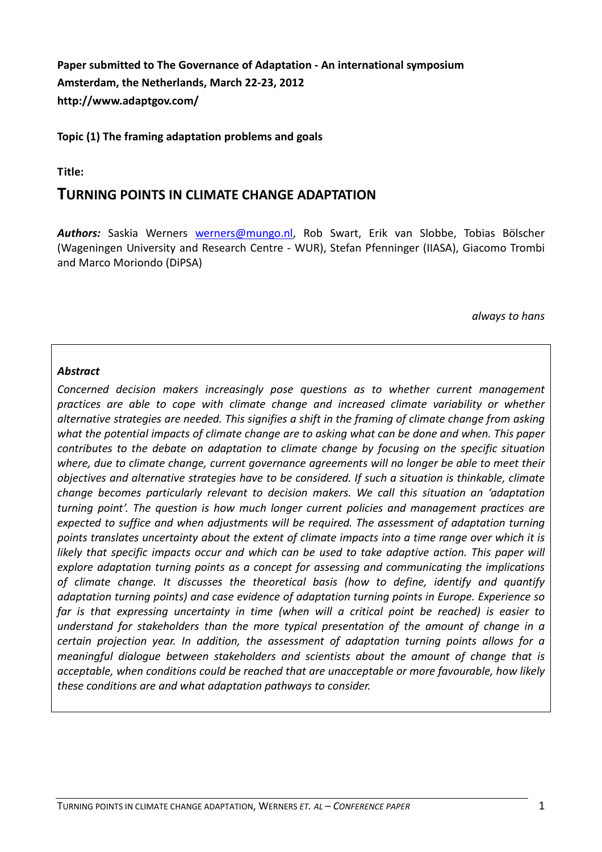Paper submitted to The Governance of Adaptation - An international symposium Amsterdam, the Netherlands, March 22-23, 2012 http://www.adaptgov.com/

#### Topic (1) The framing adaptation problems and goals

#### Title:

#### TURNING POINTS IN CLIMATE CHANGE ADAPTATION

Authors: Saskia Werners werners@mungo.nl, Rob Swart, Erik van Slobbe, Tobias Bölscher (Wageningen University and Research Centre - WUR), Stefan Pfenninger (IIASA), Giacomo Trombi and Marco Moriondo (DiPSA)

always to hans

#### **Abstract**

Concerned decision makers increasingly pose questions as to whether current management practices are able to cope with climate change and increased climate variability or whether alternative strategies are needed. This signifies a shift in the framing of climate change from asking what the potential impacts of climate change are to asking what can be done and when. This paper contributes to the debate on adaptation to climate change by focusing on the specific situation where, due to climate change, current governance agreements will no longer be able to meet their objectives and alternative strategies have to be considered. If such a situation is thinkable, climate change becomes particularly relevant to decision makers. We call this situation an 'adaptation turning point'. The question is how much longer current policies and management practices are expected to suffice and when adjustments will be required. The assessment of adaptation turning points translates uncertainty about the extent of climate impacts into a time range over which it is likely that specific impacts occur and which can be used to take adaptive action. This paper will explore adaptation turning points as a concept for assessing and communicating the implications of climate change. It discusses the theoretical basis (how to define, identify and quantify adaptation turning points) and case evidence of adaptation turning points in Europe. Experience so far is that expressing uncertainty in time (when will a critical point be reached) is easier to understand for stakeholders than the more typical presentation of the amount of change in a certain projection year. In addition, the assessment of adaptation turning points allows for a meaningful dialogue between stakeholders and scientists about the amount of change that is acceptable, when conditions could be reached that are unacceptable or more favourable, how likely these conditions are and what adaptation pathways to consider.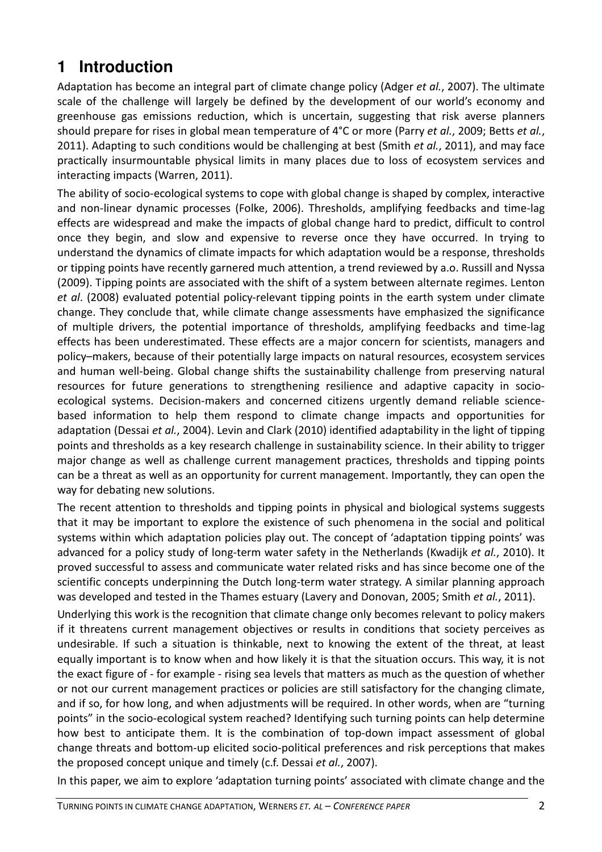# **1 Introduction**

Adaptation has become an integral part of climate change policy (Adger et al., 2007). The ultimate scale of the challenge will largely be defined by the development of our world's economy and greenhouse gas emissions reduction, which is uncertain, suggesting that risk averse planners should prepare for rises in global mean temperature of 4°C or more (Parry et al., 2009; Betts et al., 2011). Adapting to such conditions would be challenging at best (Smith et al., 2011), and may face practically insurmountable physical limits in many places due to loss of ecosystem services and interacting impacts (Warren, 2011).

The ability of socio-ecological systems to cope with global change is shaped by complex, interactive and non-linear dynamic processes (Folke, 2006). Thresholds, amplifying feedbacks and time-lag effects are widespread and make the impacts of global change hard to predict, difficult to control once they begin, and slow and expensive to reverse once they have occurred. In trying to understand the dynamics of climate impacts for which adaptation would be a response, thresholds or tipping points have recently garnered much attention, a trend reviewed by a.o. Russill and Nyssa (2009). Tipping points are associated with the shift of a system between alternate regimes. Lenton et al. (2008) evaluated potential policy-relevant tipping points in the earth system under climate change. They conclude that, while climate change assessments have emphasized the significance of multiple drivers, the potential importance of thresholds, amplifying feedbacks and time-lag effects has been underestimated. These effects are a major concern for scientists, managers and policy–makers, because of their potentially large impacts on natural resources, ecosystem services and human well-being. Global change shifts the sustainability challenge from preserving natural resources for future generations to strengthening resilience and adaptive capacity in socioecological systems. Decision-makers and concerned citizens urgently demand reliable sciencebased information to help them respond to climate change impacts and opportunities for adaptation (Dessai et al., 2004). Levin and Clark (2010) identified adaptability in the light of tipping points and thresholds as a key research challenge in sustainability science. In their ability to trigger major change as well as challenge current management practices, thresholds and tipping points can be a threat as well as an opportunity for current management. Importantly, they can open the way for debating new solutions.

The recent attention to thresholds and tipping points in physical and biological systems suggests that it may be important to explore the existence of such phenomena in the social and political systems within which adaptation policies play out. The concept of 'adaptation tipping points' was advanced for a policy study of long-term water safety in the Netherlands (Kwadijk et al., 2010). It proved successful to assess and communicate water related risks and has since become one of the scientific concepts underpinning the Dutch long-term water strategy. A similar planning approach was developed and tested in the Thames estuary (Lavery and Donovan, 2005; Smith et al., 2011).

Underlying this work is the recognition that climate change only becomes relevant to policy makers if it threatens current management objectives or results in conditions that society perceives as undesirable. If such a situation is thinkable, next to knowing the extent of the threat, at least equally important is to know when and how likely it is that the situation occurs. This way, it is not the exact figure of - for example - rising sea levels that matters as much as the question of whether or not our current management practices or policies are still satisfactory for the changing climate, and if so, for how long, and when adjustments will be required. In other words, when are "turning points" in the socio-ecological system reached? Identifying such turning points can help determine how best to anticipate them. It is the combination of top-down impact assessment of global change threats and bottom-up elicited socio-political preferences and risk perceptions that makes the proposed concept unique and timely (c.f. Dessai et al., 2007).

In this paper, we aim to explore 'adaptation turning points' associated with climate change and the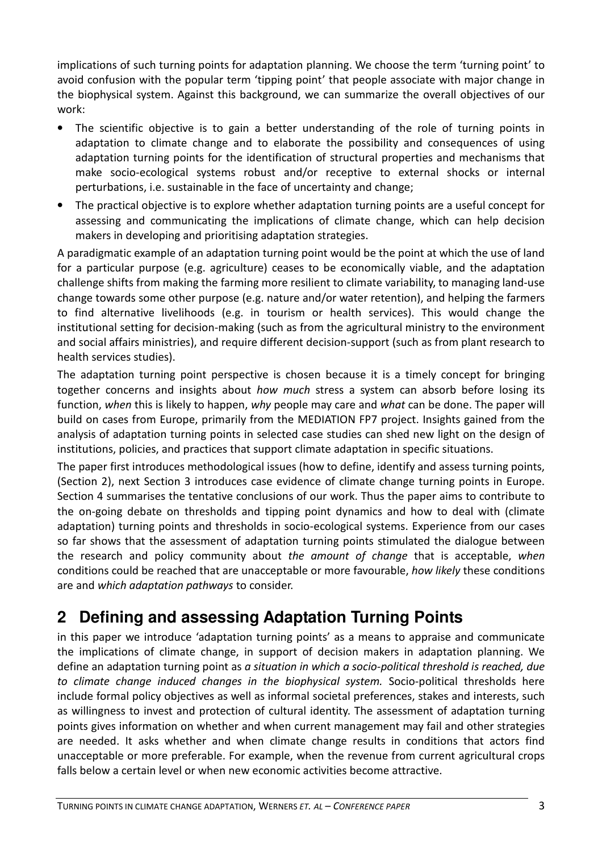implications of such turning points for adaptation planning. We choose the term 'turning point' to avoid confusion with the popular term 'tipping point' that people associate with major change in the biophysical system. Against this background, we can summarize the overall objectives of our work:

- The scientific objective is to gain a better understanding of the role of turning points in adaptation to climate change and to elaborate the possibility and consequences of using adaptation turning points for the identification of structural properties and mechanisms that make socio-ecological systems robust and/or receptive to external shocks or internal perturbations, i.e. sustainable in the face of uncertainty and change;
- The practical objective is to explore whether adaptation turning points are a useful concept for assessing and communicating the implications of climate change, which can help decision makers in developing and prioritising adaptation strategies.

A paradigmatic example of an adaptation turning point would be the point at which the use of land for a particular purpose (e.g. agriculture) ceases to be economically viable, and the adaptation challenge shifts from making the farming more resilient to climate variability, to managing land-use change towards some other purpose (e.g. nature and/or water retention), and helping the farmers to find alternative livelihoods (e.g. in tourism or health services). This would change the institutional setting for decision-making (such as from the agricultural ministry to the environment and social affairs ministries), and require different decision-support (such as from plant research to health services studies).

The adaptation turning point perspective is chosen because it is a timely concept for bringing together concerns and insights about how much stress a system can absorb before losing its function, when this is likely to happen, why people may care and what can be done. The paper will build on cases from Europe, primarily from the MEDIATION FP7 project. Insights gained from the analysis of adaptation turning points in selected case studies can shed new light on the design of institutions, policies, and practices that support climate adaptation in specific situations.

The paper first introduces methodological issues (how to define, identify and assess turning points, (Section 2), next Section 3 introduces case evidence of climate change turning points in Europe. Section 4 summarises the tentative conclusions of our work. Thus the paper aims to contribute to the on-going debate on thresholds and tipping point dynamics and how to deal with (climate adaptation) turning points and thresholds in socio-ecological systems. Experience from our cases so far shows that the assessment of adaptation turning points stimulated the dialogue between the research and policy community about the amount of change that is acceptable, when conditions could be reached that are unacceptable or more favourable, how likely these conditions are and which adaptation pathways to consider.

# **2 Defining and assessing Adaptation Turning Points**

in this paper we introduce 'adaptation turning points' as a means to appraise and communicate the implications of climate change, in support of decision makers in adaptation planning. We define an adaptation turning point as a situation in which a socio-political threshold is reached, due to climate change induced changes in the biophysical system. Socio-political thresholds here include formal policy objectives as well as informal societal preferences, stakes and interests, such as willingness to invest and protection of cultural identity. The assessment of adaptation turning points gives information on whether and when current management may fail and other strategies are needed. It asks whether and when climate change results in conditions that actors find unacceptable or more preferable. For example, when the revenue from current agricultural crops falls below a certain level or when new economic activities become attractive.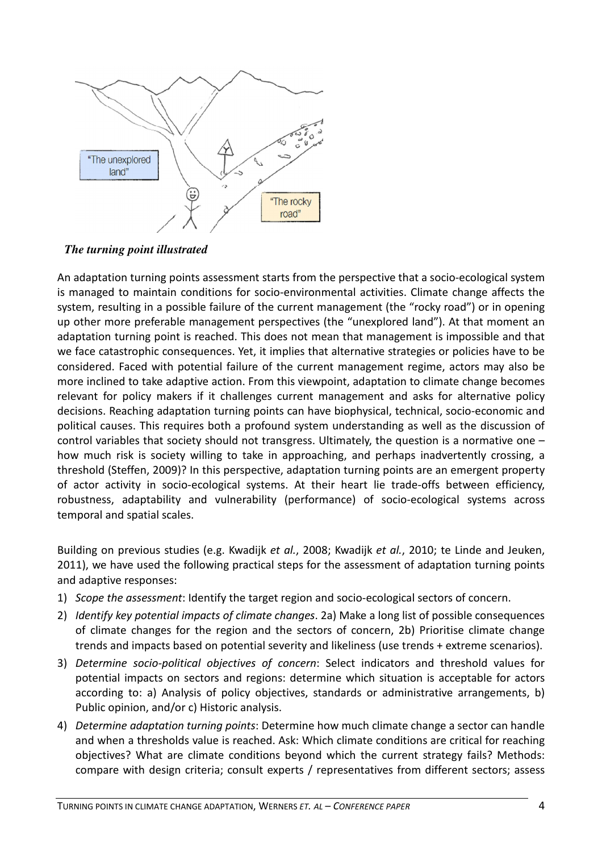

*The turning point illustrated* 

An adaptation turning points assessment starts from the perspective that a socio-ecological system is managed to maintain conditions for socio-environmental activities. Climate change affects the system, resulting in a possible failure of the current management (the "rocky road") or in opening up other more preferable management perspectives (the "unexplored land"). At that moment an adaptation turning point is reached. This does not mean that management is impossible and that we face catastrophic consequences. Yet, it implies that alternative strategies or policies have to be considered. Faced with potential failure of the current management regime, actors may also be more inclined to take adaptive action. From this viewpoint, adaptation to climate change becomes relevant for policy makers if it challenges current management and asks for alternative policy decisions. Reaching adaptation turning points can have biophysical, technical, socio-economic and political causes. This requires both a profound system understanding as well as the discussion of control variables that society should not transgress. Ultimately, the question is a normative one – how much risk is society willing to take in approaching, and perhaps inadvertently crossing, a threshold (Steffen, 2009)? In this perspective, adaptation turning points are an emergent property of actor activity in socio-ecological systems. At their heart lie trade-offs between efficiency, robustness, adaptability and vulnerability (performance) of socio-ecological systems across temporal and spatial scales.

Building on previous studies (e.g. Kwadijk et al., 2008; Kwadijk et al., 2010; te Linde and Jeuken, 2011), we have used the following practical steps for the assessment of adaptation turning points and adaptive responses:

- 1) Scope the assessment: Identify the target region and socio-ecological sectors of concern.
- 2) Identify key potential impacts of climate changes. 2a) Make a long list of possible consequences of climate changes for the region and the sectors of concern, 2b) Prioritise climate change trends and impacts based on potential severity and likeliness (use trends + extreme scenarios).
- 3) Determine socio-political objectives of concern: Select indicators and threshold values for potential impacts on sectors and regions: determine which situation is acceptable for actors according to: a) Analysis of policy objectives, standards or administrative arrangements, b) Public opinion, and/or c) Historic analysis.
- 4) Determine adaptation turning points: Determine how much climate change a sector can handle and when a thresholds value is reached. Ask: Which climate conditions are critical for reaching objectives? What are climate conditions beyond which the current strategy fails? Methods: compare with design criteria; consult experts / representatives from different sectors; assess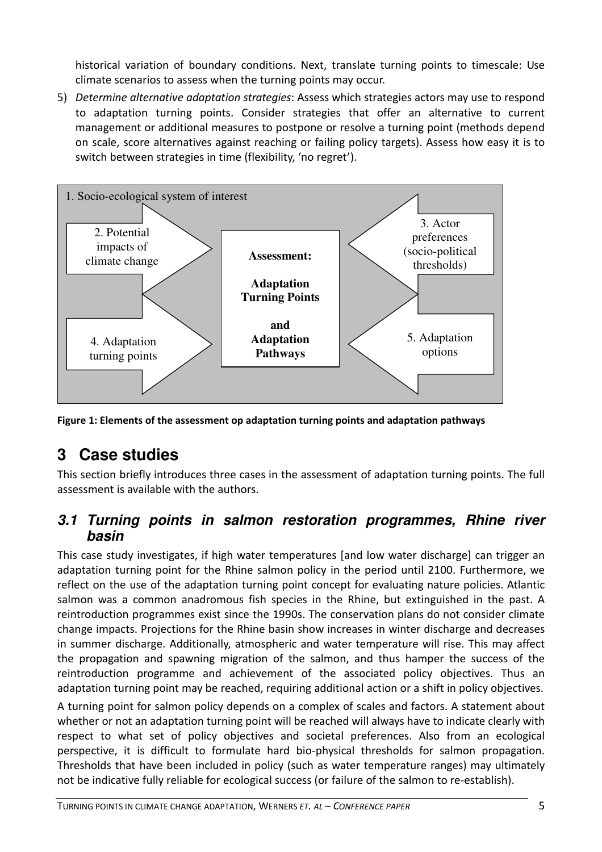historical variation of boundary conditions. Next, translate turning points to timescale: Use climate scenarios to assess when the turning points may occur.

5) Determine alternative adaptation strategies: Assess which strategies actors may use to respond to adaptation turning points. Consider strategies that offer an alternative to current management or additional measures to postpone or resolve a turning point (methods depend on scale, score alternatives against reaching or failing policy targets). Assess how easy it is to switch between strategies in time (flexibility, 'no regret').



Figure 1: Elements of the assessment op adaptation turning points and adaptation pathways

# **3 Case studies**

This section briefly introduces three cases in the assessment of adaptation turning points. The full assessment is available with the authors.

### **3.1 Turning points in salmon restoration programmes, Rhine river basin**

This case study investigates, if high water temperatures [and low water discharge] can trigger an adaptation turning point for the Rhine salmon policy in the period until 2100. Furthermore, we reflect on the use of the adaptation turning point concept for evaluating nature policies. Atlantic salmon was a common anadromous fish species in the Rhine, but extinguished in the past. A reintroduction programmes exist since the 1990s. The conservation plans do not consider climate change impacts. Projections for the Rhine basin show increases in winter discharge and decreases in summer discharge. Additionally, atmospheric and water temperature will rise. This may affect the propagation and spawning migration of the salmon, and thus hamper the success of the reintroduction programme and achievement of the associated policy objectives. Thus an adaptation turning point may be reached, requiring additional action or a shift in policy objectives. A turning point for salmon policy depends on a complex of scales and factors. A statement about whether or not an adaptation turning point will be reached will always have to indicate clearly with respect to what set of policy objectives and societal preferences. Also from an ecological perspective, it is difficult to formulate hard bio-physical thresholds for salmon propagation. Thresholds that have been included in policy (such as water temperature ranges) may ultimately not be indicative fully reliable for ecological success (or failure of the salmon to re-establish).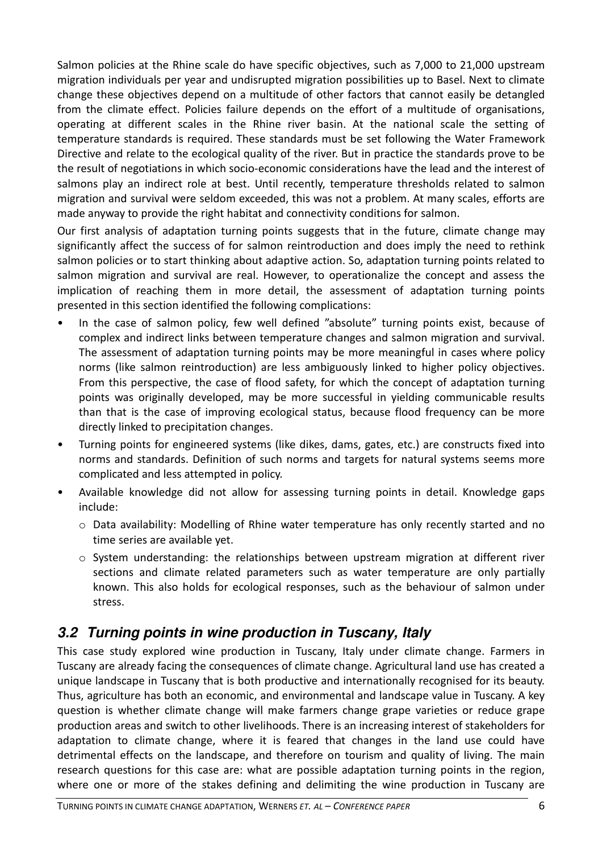Salmon policies at the Rhine scale do have specific objectives, such as 7,000 to 21,000 upstream migration individuals per year and undisrupted migration possibilities up to Basel. Next to climate change these objectives depend on a multitude of other factors that cannot easily be detangled from the climate effect. Policies failure depends on the effort of a multitude of organisations, operating at different scales in the Rhine river basin. At the national scale the setting of temperature standards is required. These standards must be set following the Water Framework Directive and relate to the ecological quality of the river. But in practice the standards prove to be the result of negotiations in which socio-economic considerations have the lead and the interest of salmons play an indirect role at best. Until recently, temperature thresholds related to salmon migration and survival were seldom exceeded, this was not a problem. At many scales, efforts are made anyway to provide the right habitat and connectivity conditions for salmon.

Our first analysis of adaptation turning points suggests that in the future, climate change may significantly affect the success of for salmon reintroduction and does imply the need to rethink salmon policies or to start thinking about adaptive action. So, adaptation turning points related to salmon migration and survival are real. However, to operationalize the concept and assess the implication of reaching them in more detail, the assessment of adaptation turning points presented in this section identified the following complications:

- In the case of salmon policy, few well defined "absolute" turning points exist, because of complex and indirect links between temperature changes and salmon migration and survival. The assessment of adaptation turning points may be more meaningful in cases where policy norms (like salmon reintroduction) are less ambiguously linked to higher policy objectives. From this perspective, the case of flood safety, for which the concept of adaptation turning points was originally developed, may be more successful in yielding communicable results than that is the case of improving ecological status, because flood frequency can be more directly linked to precipitation changes.
- Turning points for engineered systems (like dikes, dams, gates, etc.) are constructs fixed into norms and standards. Definition of such norms and targets for natural systems seems more complicated and less attempted in policy.
- Available knowledge did not allow for assessing turning points in detail. Knowledge gaps include:
	- o Data availability: Modelling of Rhine water temperature has only recently started and no time series are available yet.
	- o System understanding: the relationships between upstream migration at different river sections and climate related parameters such as water temperature are only partially known. This also holds for ecological responses, such as the behaviour of salmon under stress.

## **3.2 Turning points in wine production in Tuscany, Italy**

This case study explored wine production in Tuscany, Italy under climate change. Farmers in Tuscany are already facing the consequences of climate change. Agricultural land use has created a unique landscape in Tuscany that is both productive and internationally recognised for its beauty. Thus, agriculture has both an economic, and environmental and landscape value in Tuscany. A key question is whether climate change will make farmers change grape varieties or reduce grape production areas and switch to other livelihoods. There is an increasing interest of stakeholders for adaptation to climate change, where it is feared that changes in the land use could have detrimental effects on the landscape, and therefore on tourism and quality of living. The main research questions for this case are: what are possible adaptation turning points in the region, where one or more of the stakes defining and delimiting the wine production in Tuscany are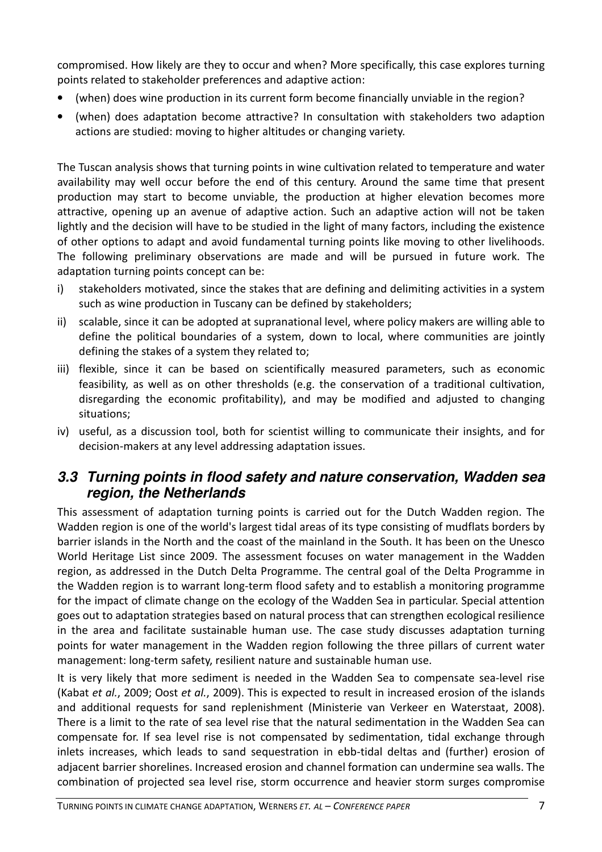compromised. How likely are they to occur and when? More specifically, this case explores turning points related to stakeholder preferences and adaptive action:

- (when) does wine production in its current form become financially unviable in the region?
- (when) does adaptation become attractive? In consultation with stakeholders two adaption actions are studied: moving to higher altitudes or changing variety.

The Tuscan analysis shows that turning points in wine cultivation related to temperature and water availability may well occur before the end of this century. Around the same time that present production may start to become unviable, the production at higher elevation becomes more attractive, opening up an avenue of adaptive action. Such an adaptive action will not be taken lightly and the decision will have to be studied in the light of many factors, including the existence of other options to adapt and avoid fundamental turning points like moving to other livelihoods. The following preliminary observations are made and will be pursued in future work. The adaptation turning points concept can be:

- i) stakeholders motivated, since the stakes that are defining and delimiting activities in a system such as wine production in Tuscany can be defined by stakeholders;
- ii) scalable, since it can be adopted at supranational level, where policy makers are willing able to define the political boundaries of a system, down to local, where communities are jointly defining the stakes of a system they related to;
- iii) flexible, since it can be based on scientifically measured parameters, such as economic feasibility, as well as on other thresholds (e.g. the conservation of a traditional cultivation, disregarding the economic profitability), and may be modified and adjusted to changing situations;
- iv) useful, as a discussion tool, both for scientist willing to communicate their insights, and for decision-makers at any level addressing adaptation issues.

### **3.3 Turning points in flood safety and nature conservation, Wadden sea region, the Netherlands**

This assessment of adaptation turning points is carried out for the Dutch Wadden region. The Wadden region is one of the world's largest tidal areas of its type consisting of mudflats borders by barrier islands in the North and the coast of the mainland in the South. It has been on the Unesco World Heritage List since 2009. The assessment focuses on water management in the Wadden region, as addressed in the Dutch Delta Programme. The central goal of the Delta Programme in the Wadden region is to warrant long-term flood safety and to establish a monitoring programme for the impact of climate change on the ecology of the Wadden Sea in particular. Special attention goes out to adaptation strategies based on natural process that can strengthen ecological resilience in the area and facilitate sustainable human use. The case study discusses adaptation turning points for water management in the Wadden region following the three pillars of current water management: long-term safety, resilient nature and sustainable human use.

It is very likely that more sediment is needed in the Wadden Sea to compensate sea-level rise (Kabat et al., 2009; Oost et al., 2009). This is expected to result in increased erosion of the islands and additional requests for sand replenishment (Ministerie van Verkeer en Waterstaat, 2008). There is a limit to the rate of sea level rise that the natural sedimentation in the Wadden Sea can compensate for. If sea level rise is not compensated by sedimentation, tidal exchange through inlets increases, which leads to sand sequestration in ebb-tidal deltas and (further) erosion of adjacent barrier shorelines. Increased erosion and channel formation can undermine sea walls. The combination of projected sea level rise, storm occurrence and heavier storm surges compromise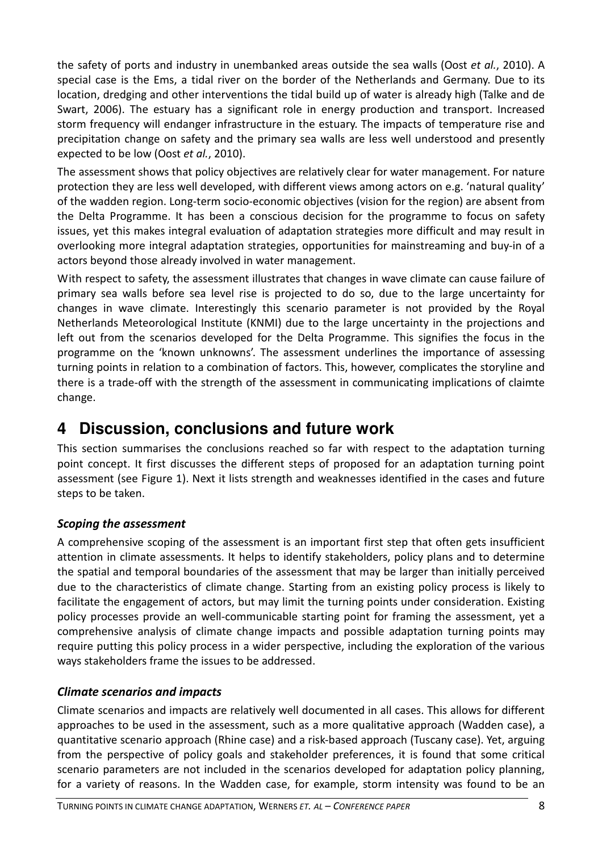the safety of ports and industry in unembanked areas outside the sea walls (Oost et al., 2010). A special case is the Ems, a tidal river on the border of the Netherlands and Germany. Due to its location, dredging and other interventions the tidal build up of water is already high (Talke and de Swart, 2006). The estuary has a significant role in energy production and transport. Increased storm frequency will endanger infrastructure in the estuary. The impacts of temperature rise and precipitation change on safety and the primary sea walls are less well understood and presently expected to be low (Oost et al., 2010).

The assessment shows that policy objectives are relatively clear for water management. For nature protection they are less well developed, with different views among actors on e.g. 'natural quality' of the wadden region. Long-term socio-economic objectives (vision for the region) are absent from the Delta Programme. It has been a conscious decision for the programme to focus on safety issues, yet this makes integral evaluation of adaptation strategies more difficult and may result in overlooking more integral adaptation strategies, opportunities for mainstreaming and buy-in of a actors beyond those already involved in water management.

With respect to safety, the assessment illustrates that changes in wave climate can cause failure of primary sea walls before sea level rise is projected to do so, due to the large uncertainty for changes in wave climate. Interestingly this scenario parameter is not provided by the Royal Netherlands Meteorological Institute (KNMI) due to the large uncertainty in the projections and left out from the scenarios developed for the Delta Programme. This signifies the focus in the programme on the 'known unknowns'. The assessment underlines the importance of assessing turning points in relation to a combination of factors. This, however, complicates the storyline and there is a trade-off with the strength of the assessment in communicating implications of claimte change.

## **4 Discussion, conclusions and future work**

This section summarises the conclusions reached so far with respect to the adaptation turning point concept. It first discusses the different steps of proposed for an adaptation turning point assessment (see Figure 1). Next it lists strength and weaknesses identified in the cases and future steps to be taken.

### Scoping the assessment

A comprehensive scoping of the assessment is an important first step that often gets insufficient attention in climate assessments. It helps to identify stakeholders, policy plans and to determine the spatial and temporal boundaries of the assessment that may be larger than initially perceived due to the characteristics of climate change. Starting from an existing policy process is likely to facilitate the engagement of actors, but may limit the turning points under consideration. Existing policy processes provide an well-communicable starting point for framing the assessment, yet a comprehensive analysis of climate change impacts and possible adaptation turning points may require putting this policy process in a wider perspective, including the exploration of the various ways stakeholders frame the issues to be addressed.

### Climate scenarios and impacts

Climate scenarios and impacts are relatively well documented in all cases. This allows for different approaches to be used in the assessment, such as a more qualitative approach (Wadden case), a quantitative scenario approach (Rhine case) and a risk-based approach (Tuscany case). Yet, arguing from the perspective of policy goals and stakeholder preferences, it is found that some critical scenario parameters are not included in the scenarios developed for adaptation policy planning, for a variety of reasons. In the Wadden case, for example, storm intensity was found to be an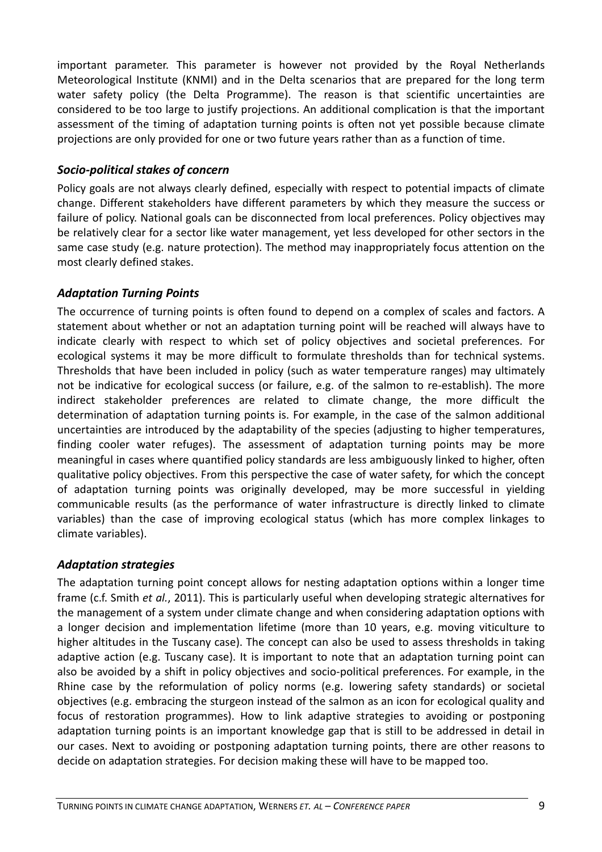important parameter. This parameter is however not provided by the Royal Netherlands Meteorological Institute (KNMI) and in the Delta scenarios that are prepared for the long term water safety policy (the Delta Programme). The reason is that scientific uncertainties are considered to be too large to justify projections. An additional complication is that the important assessment of the timing of adaptation turning points is often not yet possible because climate projections are only provided for one or two future years rather than as a function of time.

#### Socio-political stakes of concern

Policy goals are not always clearly defined, especially with respect to potential impacts of climate change. Different stakeholders have different parameters by which they measure the success or failure of policy. National goals can be disconnected from local preferences. Policy objectives may be relatively clear for a sector like water management, yet less developed for other sectors in the same case study (e.g. nature protection). The method may inappropriately focus attention on the most clearly defined stakes.

### Adaptation Turning Points

The occurrence of turning points is often found to depend on a complex of scales and factors. A statement about whether or not an adaptation turning point will be reached will always have to indicate clearly with respect to which set of policy objectives and societal preferences. For ecological systems it may be more difficult to formulate thresholds than for technical systems. Thresholds that have been included in policy (such as water temperature ranges) may ultimately not be indicative for ecological success (or failure, e.g. of the salmon to re-establish). The more indirect stakeholder preferences are related to climate change, the more difficult the determination of adaptation turning points is. For example, in the case of the salmon additional uncertainties are introduced by the adaptability of the species (adjusting to higher temperatures, finding cooler water refuges). The assessment of adaptation turning points may be more meaningful in cases where quantified policy standards are less ambiguously linked to higher, often qualitative policy objectives. From this perspective the case of water safety, for which the concept of adaptation turning points was originally developed, may be more successful in yielding communicable results (as the performance of water infrastructure is directly linked to climate variables) than the case of improving ecological status (which has more complex linkages to climate variables).

### Adaptation strategies

The adaptation turning point concept allows for nesting adaptation options within a longer time frame (c.f. Smith et al., 2011). This is particularly useful when developing strategic alternatives for the management of a system under climate change and when considering adaptation options with a longer decision and implementation lifetime (more than 10 years, e.g. moving viticulture to higher altitudes in the Tuscany case). The concept can also be used to assess thresholds in taking adaptive action (e.g. Tuscany case). It is important to note that an adaptation turning point can also be avoided by a shift in policy objectives and socio-political preferences. For example, in the Rhine case by the reformulation of policy norms (e.g. lowering safety standards) or societal objectives (e.g. embracing the sturgeon instead of the salmon as an icon for ecological quality and focus of restoration programmes). How to link adaptive strategies to avoiding or postponing adaptation turning points is an important knowledge gap that is still to be addressed in detail in our cases. Next to avoiding or postponing adaptation turning points, there are other reasons to decide on adaptation strategies. For decision making these will have to be mapped too.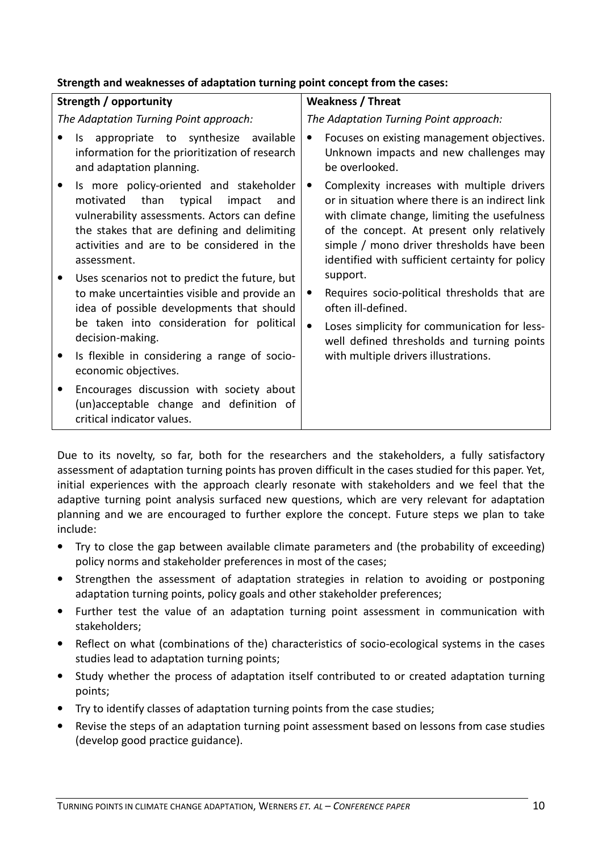#### Strength and weaknesses of adaptation turning point concept from the cases:

| Strength / opportunity                                                                                                                                                                                                                            | <b>Weakness / Threat</b>                                                                                                                                                                                                                                                                                 |
|---------------------------------------------------------------------------------------------------------------------------------------------------------------------------------------------------------------------------------------------------|----------------------------------------------------------------------------------------------------------------------------------------------------------------------------------------------------------------------------------------------------------------------------------------------------------|
| The Adaptation Turning Point approach:                                                                                                                                                                                                            | The Adaptation Turning Point approach:                                                                                                                                                                                                                                                                   |
| appropriate to synthesize<br>available<br>ls.<br>information for the prioritization of research<br>and adaptation planning.                                                                                                                       | Focuses on existing management objectives.<br>$\bullet$<br>Unknown impacts and new challenges may<br>be overlooked.                                                                                                                                                                                      |
| Is more policy-oriented and stakeholder<br>typical<br>motivated than<br>impact<br>and<br>vulnerability assessments. Actors can define<br>the stakes that are defining and delimiting<br>activities and are to be considered in the<br>assessment. | Complexity increases with multiple drivers<br>$\bullet$<br>or in situation where there is an indirect link<br>with climate change, limiting the usefulness<br>of the concept. At present only relatively<br>simple / mono driver thresholds have been<br>identified with sufficient certainty for policy |
| Uses scenarios not to predict the future, but<br>to make uncertainties visible and provide an<br>idea of possible developments that should<br>be taken into consideration for political<br>decision-making.                                       | support.<br>Requires socio-political thresholds that are<br>$\bullet$<br>often ill-defined.<br>$\bullet$<br>Loses simplicity for communication for less-<br>well defined thresholds and turning points                                                                                                   |
| Is flexible in considering a range of socio-<br>economic objectives.                                                                                                                                                                              | with multiple drivers illustrations.                                                                                                                                                                                                                                                                     |
| Encourages discussion with society about<br>(un)acceptable change and definition of<br>critical indicator values.                                                                                                                                 |                                                                                                                                                                                                                                                                                                          |

Due to its novelty, so far, both for the researchers and the stakeholders, a fully satisfactory assessment of adaptation turning points has proven difficult in the cases studied for this paper. Yet, initial experiences with the approach clearly resonate with stakeholders and we feel that the adaptive turning point analysis surfaced new questions, which are very relevant for adaptation planning and we are encouraged to further explore the concept. Future steps we plan to take include:

- Try to close the gap between available climate parameters and (the probability of exceeding) policy norms and stakeholder preferences in most of the cases;
- Strengthen the assessment of adaptation strategies in relation to avoiding or postponing adaptation turning points, policy goals and other stakeholder preferences;
- Further test the value of an adaptation turning point assessment in communication with stakeholders;
- Reflect on what (combinations of the) characteristics of socio-ecological systems in the cases studies lead to adaptation turning points;
- Study whether the process of adaptation itself contributed to or created adaptation turning points;
- Try to identify classes of adaptation turning points from the case studies;
- Revise the steps of an adaptation turning point assessment based on lessons from case studies (develop good practice guidance).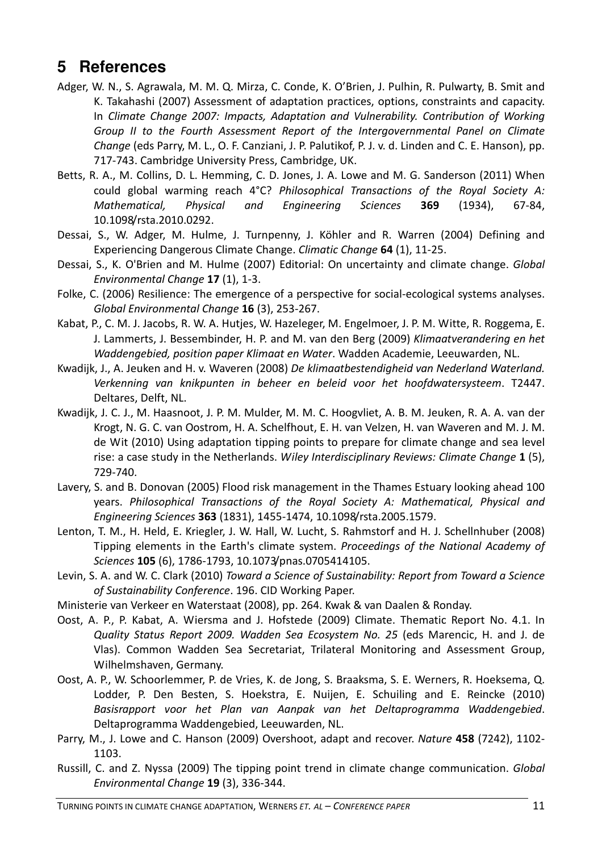## **5 References**

- Adger, W. N., S. Agrawala, M. M. Q. Mirza, C. Conde, K. O'Brien, J. Pulhin, R. Pulwarty, B. Smit and K. Takahashi (2007) Assessment of adaptation practices, options, constraints and capacity. In Climate Change 2007: Impacts, Adaptation and Vulnerability. Contribution of Working Group II to the Fourth Assessment Report of the Intergovernmental Panel on Climate Change (eds Parry, M. L., O. F. Canziani, J. P. Palutikof, P. J. v. d. Linden and C. E. Hanson), pp. 717-743. Cambridge University Press, Cambridge, UK.
- Betts, R. A., M. Collins, D. L. Hemming, C. D. Jones, J. A. Lowe and M. G. Sanderson (2011) When could global warming reach 4°C? Philosophical Transactions of the Royal Society A: Mathematical, Physical and Engineering Sciences 369 (1934), 67-84, 10.1098/rsta.2010.0292.
- Dessai, S., W. Adger, M. Hulme, J. Turnpenny, J. Köhler and R. Warren (2004) Defining and Experiencing Dangerous Climate Change. Climatic Change 64 (1), 11-25.
- Dessai, S., K. O'Brien and M. Hulme (2007) Editorial: On uncertainty and climate change. Global Environmental Change 17 (1), 1-3.
- Folke, C. (2006) Resilience: The emergence of a perspective for social-ecological systems analyses. Global Environmental Change 16 (3), 253-267.
- Kabat, P., C. M. J. Jacobs, R. W. A. Hutjes, W. Hazeleger, M. Engelmoer, J. P. M. Witte, R. Roggema, E. J. Lammerts, J. Bessembinder, H. P. and M. van den Berg (2009) Klimaatverandering en het Waddengebied, position paper Klimaat en Water. Wadden Academie, Leeuwarden, NL.
- Kwadijk, J., A. Jeuken and H. v. Waveren (2008) De klimaatbestendigheid van Nederland Waterland. Verkenning van knikpunten in beheer en beleid voor het hoofdwatersysteem. T2447. Deltares, Delft, NL.
- Kwadijk, J. C. J., M. Haasnoot, J. P. M. Mulder, M. M. C. Hoogvliet, A. B. M. Jeuken, R. A. A. van der Krogt, N. G. C. van Oostrom, H. A. Schelfhout, E. H. van Velzen, H. van Waveren and M. J. M. de Wit (2010) Using adaptation tipping points to prepare for climate change and sea level rise: a case study in the Netherlands. Wiley Interdisciplinary Reviews: Climate Change 1 (5), 729-740.
- Lavery, S. and B. Donovan (2005) Flood risk management in the Thames Estuary looking ahead 100 years. Philosophical Transactions of the Royal Society A: Mathematical, Physical and Engineering Sciences 363 (1831), 1455-1474, 10.1098/rsta.2005.1579.
- Lenton, T. M., H. Held, E. Kriegler, J. W. Hall, W. Lucht, S. Rahmstorf and H. J. Schellnhuber (2008) Tipping elements in the Earth's climate system. Proceedings of the National Academy of Sciences 105 (6), 1786-1793, 10.1073/pnas.0705414105.
- Levin, S. A. and W. C. Clark (2010) Toward a Science of Sustainability: Report from Toward a Science of Sustainability Conference. 196. CID Working Paper.
- Ministerie van Verkeer en Waterstaat (2008), pp. 264. Kwak & van Daalen & Ronday.
- Oost, A. P., P. Kabat, A. Wiersma and J. Hofstede (2009) Climate. Thematic Report No. 4.1. In Quality Status Report 2009. Wadden Sea Ecosystem No. 25 (eds Marencic, H. and J. de Vlas). Common Wadden Sea Secretariat, Trilateral Monitoring and Assessment Group, Wilhelmshaven, Germany.
- Oost, A. P., W. Schoorlemmer, P. de Vries, K. de Jong, S. Braaksma, S. E. Werners, R. Hoeksema, Q. Lodder, P. Den Besten, S. Hoekstra, E. Nuijen, E. Schuiling and E. Reincke (2010) Basisrapport voor het Plan van Aanpak van het Deltaprogramma Waddengebied. Deltaprogramma Waddengebied, Leeuwarden, NL.
- Parry, M., J. Lowe and C. Hanson (2009) Overshoot, adapt and recover. Nature 458 (7242), 1102-1103.
- Russill, C. and Z. Nyssa (2009) The tipping point trend in climate change communication. Global Environmental Change 19 (3), 336-344.